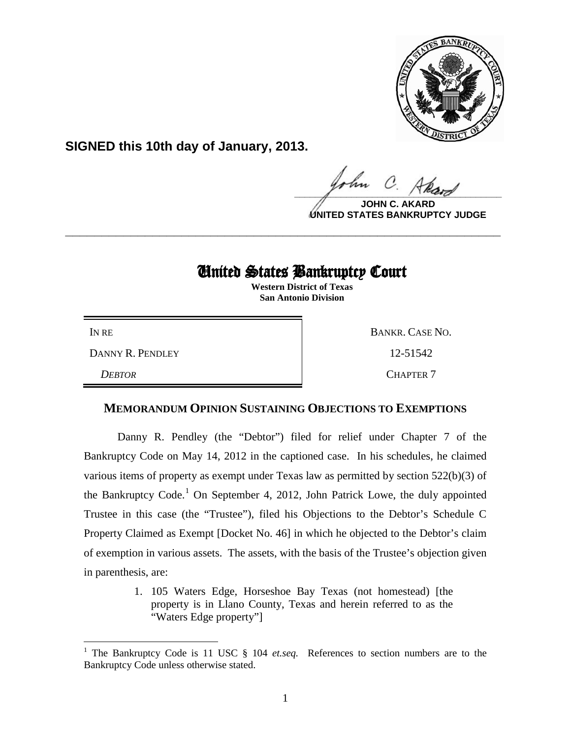

**SIGNED this 10th day of January, 2013.**

 $\frac{1}{\sqrt{1-\frac{1}{2}}\sqrt{1-\frac{1}{2}}\sqrt{1-\frac{1}{2}}\sqrt{1-\frac{1}{2}}\sqrt{1-\frac{1}{2}}\sqrt{1-\frac{1}{2}}\sqrt{1-\frac{1}{2}}\sqrt{1-\frac{1}{2}}\sqrt{1-\frac{1}{2}}\sqrt{1-\frac{1}{2}}\sqrt{1-\frac{1}{2}}\sqrt{1-\frac{1}{2}}\sqrt{1-\frac{1}{2}}\sqrt{1-\frac{1}{2}}\sqrt{1-\frac{1}{2}}\sqrt{1-\frac{1}{2}}\sqrt{1-\frac{1}{2}}\sqrt{1-\frac{1}{2}}\sqrt{1-\frac{1}{2}}\sqrt{1-\frac$ 

**JOHN C. UNITED STATES BANKRUPTCY JUDGE**

## United States Bankruptcy Court

**\_\_\_\_\_\_\_\_\_\_\_\_\_\_\_\_\_\_\_\_\_\_\_\_\_\_\_\_\_\_\_\_\_\_\_\_\_\_\_\_\_\_\_\_\_\_\_\_\_\_\_\_\_\_\_\_\_\_\_\_**

 **Western District of Texas San Antonio Division**

DANNY R. PENDLEY 12-51542

*DEBTOR* CHAPTER 7

IN RE BANKR. CASE NO.

## **MEMORANDUM OPINION SUSTAINING OBJECTIONS TO EXEMPTIONS**

Danny R. Pendley (the "Debtor") filed for relief under Chapter 7 of the Bankruptcy Code on May 14, 2012 in the captioned case. In his schedules, he claimed various items of property as exempt under Texas law as permitted by section 522(b)(3) of the Bankruptcy Code.<sup>[1](#page-0-0)</sup> On September 4, 2012, John Patrick Lowe, the duly appointed Trustee in this case (the "Trustee"), filed his Objections to the Debtor's Schedule C Property Claimed as Exempt [Docket No. 46] in which he objected to the Debtor's claim of exemption in various assets. The assets, with the basis of the Trustee's objection given in parenthesis, are:

> 1. 105 Waters Edge, Horseshoe Bay Texas (not homestead) [the property is in Llano County, Texas and herein referred to as the "Waters Edge property"]

<span id="page-0-0"></span><sup>&</sup>lt;sup>1</sup> The Bankruptcy Code is 11 USC § 104 *et.seq.* References to section numbers are to the Bankruptcy Code unless otherwise stated.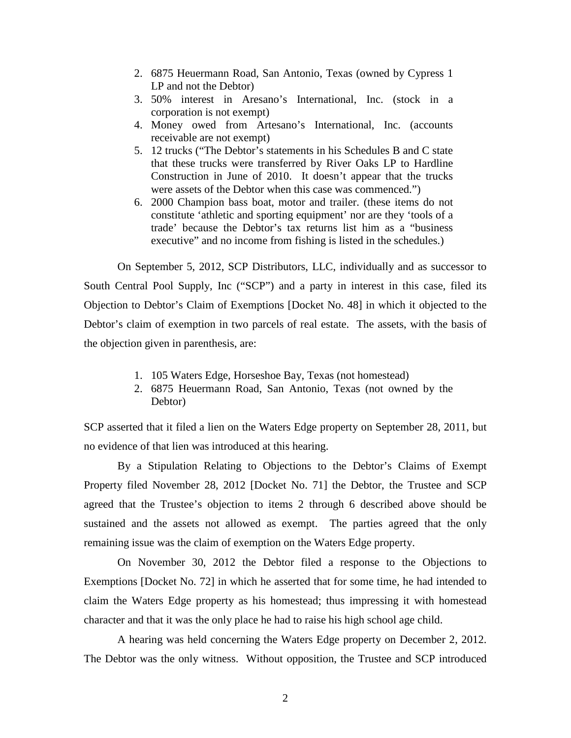- 2. 6875 Heuermann Road, San Antonio, Texas (owned by Cypress 1 LP and not the Debtor)
- 3. 50% interest in Aresano's International, Inc. (stock in a corporation is not exempt)
- 4. Money owed from Artesano's International, Inc. (accounts receivable are not exempt)
- 5. 12 trucks ("The Debtor's statements in his Schedules B and C state that these trucks were transferred by River Oaks LP to Hardline Construction in June of 2010. It doesn't appear that the trucks were assets of the Debtor when this case was commenced.")
- 6. 2000 Champion bass boat, motor and trailer. (these items do not constitute 'athletic and sporting equipment' nor are they 'tools of a trade' because the Debtor's tax returns list him as a "business executive" and no income from fishing is listed in the schedules.)

On September 5, 2012, SCP Distributors, LLC, individually and as successor to South Central Pool Supply, Inc ("SCP") and a party in interest in this case, filed its Objection to Debtor's Claim of Exemptions [Docket No. 48] in which it objected to the Debtor's claim of exemption in two parcels of real estate. The assets, with the basis of the objection given in parenthesis, are:

- 1. 105 Waters Edge, Horseshoe Bay, Texas (not homestead)
- 2. 6875 Heuermann Road, San Antonio, Texas (not owned by the Debtor)

SCP asserted that it filed a lien on the Waters Edge property on September 28, 2011, but no evidence of that lien was introduced at this hearing.

By a Stipulation Relating to Objections to the Debtor's Claims of Exempt Property filed November 28, 2012 [Docket No. 71] the Debtor, the Trustee and SCP agreed that the Trustee's objection to items 2 through 6 described above should be sustained and the assets not allowed as exempt. The parties agreed that the only remaining issue was the claim of exemption on the Waters Edge property.

On November 30, 2012 the Debtor filed a response to the Objections to Exemptions [Docket No. 72] in which he asserted that for some time, he had intended to claim the Waters Edge property as his homestead; thus impressing it with homestead character and that it was the only place he had to raise his high school age child.

A hearing was held concerning the Waters Edge property on December 2, 2012. The Debtor was the only witness. Without opposition, the Trustee and SCP introduced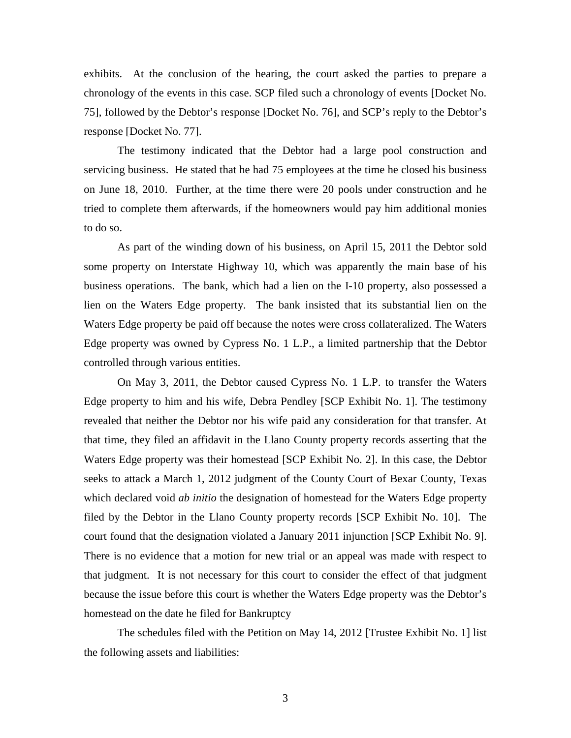exhibits. At the conclusion of the hearing, the court asked the parties to prepare a chronology of the events in this case. SCP filed such a chronology of events [Docket No. 75], followed by the Debtor's response [Docket No. 76], and SCP's reply to the Debtor's response [Docket No. 77].

The testimony indicated that the Debtor had a large pool construction and servicing business. He stated that he had 75 employees at the time he closed his business on June 18, 2010. Further, at the time there were 20 pools under construction and he tried to complete them afterwards, if the homeowners would pay him additional monies to do so.

As part of the winding down of his business, on April 15, 2011 the Debtor sold some property on Interstate Highway 10, which was apparently the main base of his business operations. The bank, which had a lien on the I-10 property, also possessed a lien on the Waters Edge property. The bank insisted that its substantial lien on the Waters Edge property be paid off because the notes were cross collateralized. The Waters Edge property was owned by Cypress No. 1 L.P., a limited partnership that the Debtor controlled through various entities.

On May 3, 2011, the Debtor caused Cypress No. 1 L.P. to transfer the Waters Edge property to him and his wife, Debra Pendley [SCP Exhibit No. 1]. The testimony revealed that neither the Debtor nor his wife paid any consideration for that transfer. At that time, they filed an affidavit in the Llano County property records asserting that the Waters Edge property was their homestead [SCP Exhibit No. 2]. In this case, the Debtor seeks to attack a March 1, 2012 judgment of the County Court of Bexar County, Texas which declared void *ab initio* the designation of homestead for the Waters Edge property filed by the Debtor in the Llano County property records [SCP Exhibit No. 10]. The court found that the designation violated a January 2011 injunction [SCP Exhibit No. 9]. There is no evidence that a motion for new trial or an appeal was made with respect to that judgment. It is not necessary for this court to consider the effect of that judgment because the issue before this court is whether the Waters Edge property was the Debtor's homestead on the date he filed for Bankruptcy

The schedules filed with the Petition on May 14, 2012 [Trustee Exhibit No. 1] list the following assets and liabilities: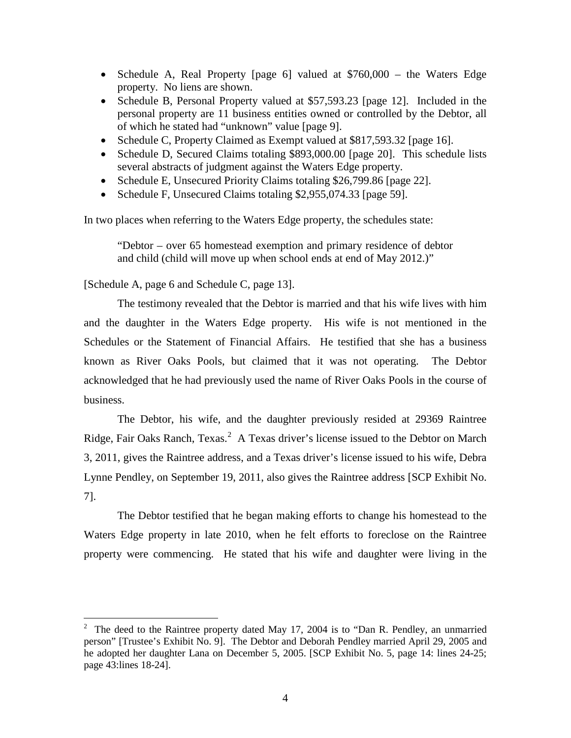- Schedule A, Real Property [page 6] valued at \$760,000 the Waters Edge property. No liens are shown.
- Schedule B, Personal Property valued at \$57,593.23 [page 12]. Included in the personal property are 11 business entities owned or controlled by the Debtor, all of which he stated had "unknown" value [page 9].
- Schedule C, Property Claimed as Exempt valued at \$817,593.32 [page 16].
- Schedule D, Secured Claims totaling \$893,000.00 [page 20]. This schedule lists several abstracts of judgment against the Waters Edge property.
- Schedule E, Unsecured Priority Claims totaling \$26,799.86 [page 22].
- Schedule F, Unsecured Claims totaling \$2,955,074.33 [page 59].

In two places when referring to the Waters Edge property, the schedules state:

"Debtor – over 65 homestead exemption and primary residence of debtor and child (child will move up when school ends at end of May 2012.)"

[Schedule A, page 6 and Schedule C, page 13].

The testimony revealed that the Debtor is married and that his wife lives with him and the daughter in the Waters Edge property. His wife is not mentioned in the Schedules or the Statement of Financial Affairs. He testified that she has a business known as River Oaks Pools, but claimed that it was not operating. The Debtor acknowledged that he had previously used the name of River Oaks Pools in the course of business.

The Debtor, his wife, and the daughter previously resided at 29369 Raintree Ridge, Fair Oaks Ranch, Texas.<sup>[2](#page-3-0)</sup> A Texas driver's license issued to the Debtor on March 3, 2011, gives the Raintree address, and a Texas driver's license issued to his wife, Debra Lynne Pendley, on September 19, 2011, also gives the Raintree address [SCP Exhibit No. 7].

The Debtor testified that he began making efforts to change his homestead to the Waters Edge property in late 2010, when he felt efforts to foreclose on the Raintree property were commencing. He stated that his wife and daughter were living in the

<span id="page-3-0"></span> $\frac{1}{2}$  The deed to the Raintree property dated May 17, 2004 is to "Dan R. Pendley, an unmarried person" [Trustee's Exhibit No. 9]. The Debtor and Deborah Pendley married April 29, 2005 and he adopted her daughter Lana on December 5, 2005. [SCP Exhibit No. 5, page 14: lines 24-25; page 43:lines 18-24].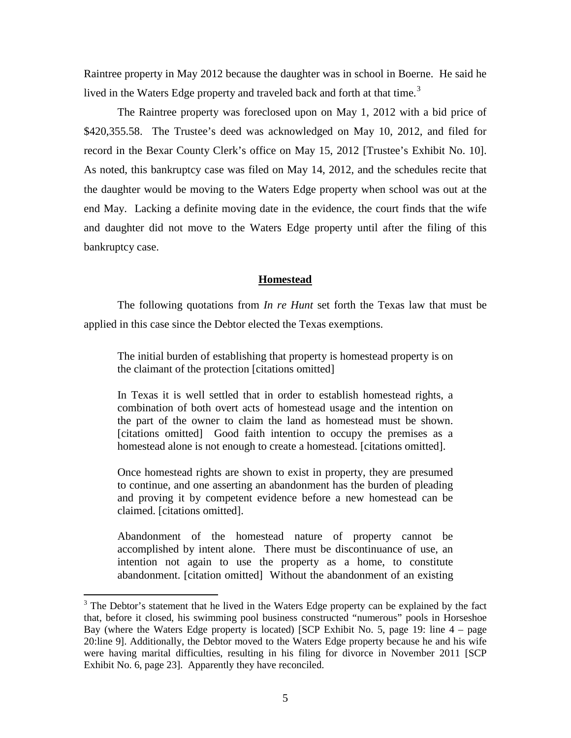Raintree property in May 2012 because the daughter was in school in Boerne. He said he lived in the Waters Edge property and traveled back and forth at that time.<sup>[3](#page-4-0)</sup>

The Raintree property was foreclosed upon on May 1, 2012 with a bid price of \$420,355.58. The Trustee's deed was acknowledged on May 10, 2012, and filed for record in the Bexar County Clerk's office on May 15, 2012 [Trustee's Exhibit No. 10]. As noted, this bankruptcy case was filed on May 14, 2012, and the schedules recite that the daughter would be moving to the Waters Edge property when school was out at the end May. Lacking a definite moving date in the evidence, the court finds that the wife and daughter did not move to the Waters Edge property until after the filing of this bankruptcy case.

## **Homestead**

The following quotations from *In re Hunt* set forth the Texas law that must be applied in this case since the Debtor elected the Texas exemptions.

The initial burden of establishing that property is homestead property is on the claimant of the protection [citations omitted]

In Texas it is well settled that in order to establish homestead rights, a combination of both overt acts of homestead usage and the intention on the part of the owner to claim the land as homestead must be shown. [citations omitted] Good faith intention to occupy the premises as a homestead alone is not enough to create a homestead. [citations omitted].

Once homestead rights are shown to exist in property, they are presumed to continue, and one asserting an abandonment has the burden of pleading and proving it by competent evidence before a new homestead can be claimed. [citations omitted].

Abandonment of the homestead nature of property cannot be accomplished by intent alone. There must be discontinuance of use, an intention not again to use the property as a home, to constitute abandonment. [citation omitted] Without the abandonment of an existing

<span id="page-4-0"></span><sup>&</sup>lt;sup>3</sup> The Debtor's statement that he lived in the Waters Edge property can be explained by the fact that, before it closed, his swimming pool business constructed "numerous" pools in Horseshoe Bay (where the Waters Edge property is located) [SCP Exhibit No. 5, page 19: line 4 – page 20:line 9]. Additionally, the Debtor moved to the Waters Edge property because he and his wife were having marital difficulties, resulting in his filing for divorce in November 2011 [SCP Exhibit No. 6, page 23]. Apparently they have reconciled.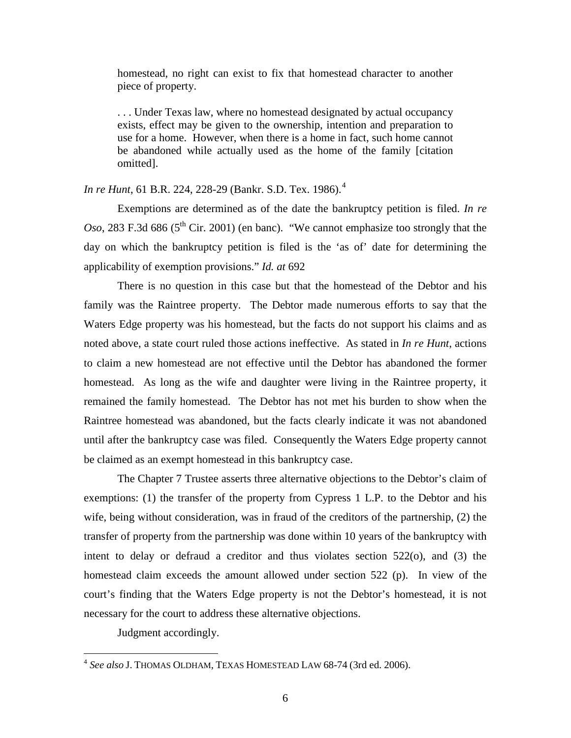homestead, no right can exist to fix that homestead character to another piece of property.

. . . Under Texas law, where no homestead designated by actual occupancy exists, effect may be given to the ownership, intention and preparation to use for a home. However, when there is a home in fact, such home cannot be abandoned while actually used as the home of the family [citation omitted].

*In re Hunt*, 61 B.R. 224, 228-29 (Bankr. S.D. Tex. 1986).[4](#page-5-0)

Exemptions are determined as of the date the bankruptcy petition is filed. *In re Oso*, 283 F.3d 686 ( $5<sup>th</sup>$  Cir. 2001) (en banc). "We cannot emphasize too strongly that the day on which the bankruptcy petition is filed is the 'as of' date for determining the applicability of exemption provisions." *Id. at* 692

There is no question in this case but that the homestead of the Debtor and his family was the Raintree property. The Debtor made numerous efforts to say that the Waters Edge property was his homestead, but the facts do not support his claims and as noted above, a state court ruled those actions ineffective. As stated in *In re Hunt*, actions to claim a new homestead are not effective until the Debtor has abandoned the former homestead. As long as the wife and daughter were living in the Raintree property, it remained the family homestead. The Debtor has not met his burden to show when the Raintree homestead was abandoned, but the facts clearly indicate it was not abandoned until after the bankruptcy case was filed. Consequently the Waters Edge property cannot be claimed as an exempt homestead in this bankruptcy case.

The Chapter 7 Trustee asserts three alternative objections to the Debtor's claim of exemptions: (1) the transfer of the property from Cypress 1 L.P. to the Debtor and his wife, being without consideration, was in fraud of the creditors of the partnership, (2) the transfer of property from the partnership was done within 10 years of the bankruptcy with intent to delay or defraud a creditor and thus violates section 522(o), and (3) the homestead claim exceeds the amount allowed under section 522 (p). In view of the court's finding that the Waters Edge property is not the Debtor's homestead, it is not necessary for the court to address these alternative objections.

Judgment accordingly.

<span id="page-5-0"></span> <sup>4</sup> *See also* J. THOMAS OLDHAM, TEXAS HOMESTEAD LAW 68-74 (3rd ed. 2006).